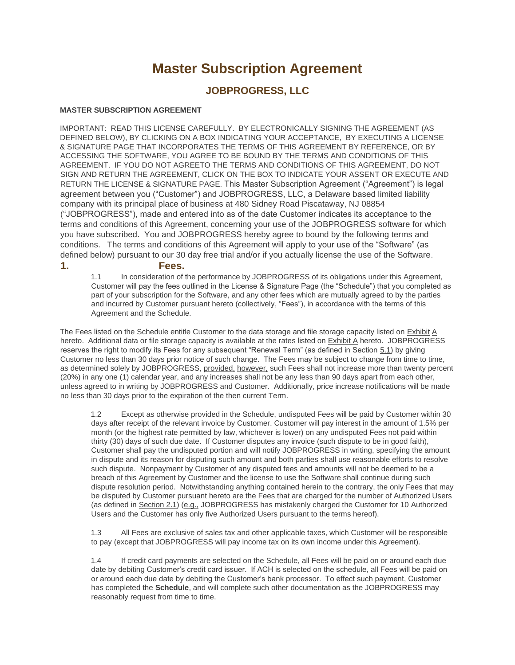# **Master Subscription Agreement**

## **JOBPROGRESS, LLC**

#### **MASTER SUBSCRIPTION AGREEMENT**

IMPORTANT: READ THIS LICENSE CAREFULLY. BY ELECTRONICALLY SIGNING THE AGREEMENT (AS DEFINED BELOW), BY CLICKING ON A BOX INDICATING YOUR ACCEPTANCE, BY EXECUTING A LICENSE & SIGNATURE PAGE THAT INCORPORATES THE TERMS OF THIS AGREEMENT BY REFERENCE, OR BY ACCESSING THE SOFTWARE, YOU AGREE TO BE BOUND BY THE TERMS AND CONDITIONS OF THIS AGREEMENT. IF YOU DO NOT AGREETO THE TERMS AND CONDITIONS OF THIS AGREEMENT, DO NOT SIGN AND RETURN THE AGREEMENT, CLICK ON THE BOX TO INDICATE YOUR ASSENT OR EXECUTE AND RETURN THE LICENSE & SIGNATURE PAGE. This Master Subscription Agreement ("Agreement") is legal agreement between you ("Customer") and JOBPROGRESS, LLC, a Delaware based limited liability company with its principal place of business at 480 Sidney Road Piscataway, NJ 08854 ("JOBPROGRESS"), made and entered into as of the date Customer indicates its acceptance to the terms and conditions of this Agreement, concerning your use of the JOBPROGRESS software for which you have subscribed. You and JOBPROGRESS hereby agree to bound by the following terms and conditions. The terms and conditions of this Agreement will apply to your use of the "Software" (as defined below) pursuant to our 30 day free trial and/or if you actually license the use of the Software.

#### **1. Fees.**

1.1 In consideration of the performance by JOBPROGRESS of its obligations under this Agreement, Customer will pay the fees outlined in the License & Signature Page (the "Schedule") that you completed as part of your subscription for the Software, and any other fees which are mutually agreed to by the parties and incurred by Customer pursuant hereto (collectively, "Fees"), in accordance with the terms of this Agreement and the Schedule.

The Fees listed on the Schedule entitle Customer to the data storage and file storage capacity listed on Exhibit A hereto. Additional data or file storage capacity is available at the rates listed on **Exhibit A** hereto. JOBPROGRESS reserves the right to modify its Fees for any subsequent "Renewal Term" (as defined in Section 5.1) by giving Customer no less than 30 days prior notice of such change. The Fees may be subject to change from time to time, as determined solely by JOBPROGRESS, provided, however, such Fees shall not increase more than twenty percent (20%) in any one (1) calendar year, and any increases shall not be any less than 90 days apart from each other, unless agreed to in writing by JOBPROGRESS and Customer. Additionally, price increase notifications will be made no less than 30 days prior to the expiration of the then current Term.

1.2 Except as otherwise provided in the Schedule, undisputed Fees will be paid by Customer within 30 days after receipt of the relevant invoice by Customer. Customer will pay interest in the amount of 1.5% per month (or the highest rate permitted by law, whichever is lower) on any undisputed Fees not paid within thirty (30) days of such due date. If Customer disputes any invoice (such dispute to be in good faith), Customer shall pay the undisputed portion and will notify JOBPROGRESS in writing, specifying the amount in dispute and its reason for disputing such amount and both parties shall use reasonable efforts to resolve such dispute. Nonpayment by Customer of any disputed fees and amounts will not be deemed to be a breach of this Agreement by Customer and the license to use the Software shall continue during such dispute resolution period. Notwithstanding anything contained herein to the contrary, the only Fees that may be disputed by Customer pursuant hereto are the Fees that are charged for the number of Authorized Users (as defined in Section 2.1) (e.g., JOBPROGRESS has mistakenly charged the Customer for 10 Authorized Users and the Customer has only five Authorized Users pursuant to the terms hereof).

1.3 All Fees are exclusive of sales tax and other applicable taxes, which Customer will be responsible to pay (except that JOBPROGRESS will pay income tax on its own income under this Agreement).

1.4 If credit card payments are selected on the Schedule, all Fees will be paid on or around each due date by debiting Customer's credit card issuer. If ACH is selected on the schedule, all Fees will be paid on or around each due date by debiting the Customer's bank processor. To effect such payment, Customer has completed the **Schedule**, and will complete such other documentation as the JOBPROGRESS may reasonably request from time to time.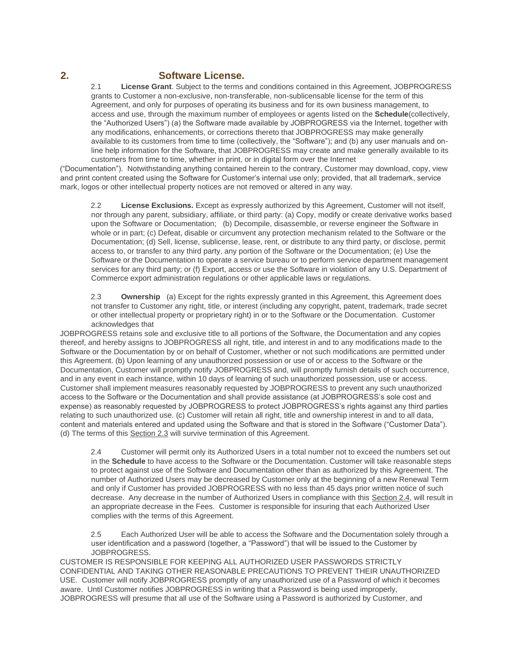## **2. Software License.**

2.1 **License Grant**. Subject to the terms and conditions contained in this Agreement, JOBPROGRESS grants to Customer a non-exclusive, non-transferable, non-sublicensable license for the term of this Agreement, and only for purposes of operating its business and for its own business management, to access and use, through the maximum number of employees or agents listed on the **Schedule**(collectively, the "Authorized Users") (a) the Software made available by JOBPROGRESS via the Internet, together with any modifications, enhancements, or corrections thereto that JOBPROGRESS may make generally available to its customers from time to time (collectively, the "Software"); and (b) any user manuals and online help information for the Software, that JOBPROGRESS may create and make generally available to its customers from time to time, whether in print, or in digital form over the Internet

("Documentation"). Notwithstanding anything contained herein to the contrary, Customer may download, copy, view and print content created using the Software for Customer's internal use only; provided, that all trademark, service mark, logos or other intellectual property notices are not removed or altered in any way.

2.2 **License Exclusions.** Except as expressly authorized by this Agreement, Customer will not itself, nor through any parent, subsidiary, affiliate, or third party: (a) Copy, modify or create derivative works based upon the Software or Documentation; (b) Decompile, disassemble, or reverse engineer the Software in whole or in part; (c) Defeat, disable or circumvent any protection mechanism related to the Software or the Documentation; (d) Sell, license, sublicense, lease, rent, or distribute to any third party, or disclose, permit access to, or transfer to any third party, any portion of the Software or the Documentation; (e) Use the Software or the Documentation to operate a service bureau or to perform service department management services for any third party; or (f) Export, access or use the Software in violation of any U.S. Department of Commerce export administration regulations or other applicable laws or regulations.

2.3 **Ownership** (a) Except for the rights expressly granted in this Agreement, this Agreement does not transfer to Customer any right, title, or interest (including any copyright, patent, trademark, trade secret or other intellectual property or proprietary right) in or to the Software or the Documentation. Customer acknowledges that

JOBPROGRESS retains sole and exclusive title to all portions of the Software, the Documentation and any copies thereof, and hereby assigns to JOBPROGRESS all right, title, and interest in and to any modifications made to the Software or the Documentation by or on behalf of Customer, whether or not such modifications are permitted under this Agreement. (b) Upon learning of any unauthorized possession or use of or access to the Software or the Documentation, Customer will promptly notify JOBPROGRESS and, will promptly furnish details of such occurrence, and in any event in each instance, within 10 days of learning of such unauthorized possession, use or access. Customer shall implement measures reasonably requested by JOBPROGRESS to prevent any such unauthorized access to the Software or the Documentation and shall provide assistance (at JOBPROGRESS's sole cost and expense) as reasonably requested by JOBPROGRESS to protect JOBPROGRESS's rights against any third parties relating to such unauthorized use. (c) Customer will retain all right, title and ownership interest in and to all data, content and materials entered and updated using the Software and that is stored in the Software ("Customer Data"). (d) The terms of this Section 2.3 will survive termination of this Agreement.

2.4 Customer will permit only its Authorized Users in a total number not to exceed the numbers set out in the **Schedule** to have access to the Software or the Documentation. Customer will take reasonable steps to protect against use of the Software and Documentation other than as authorized by this Agreement. The number of Authorized Users may be decreased by Customer only at the beginning of a new Renewal Term and only if Customer has provided JOBPROGRESS with no less than 45 days prior written notice of such decrease. Any decrease in the number of Authorized Users in compliance with this Section 2.4, will result in an appropriate decrease in the Fees. Customer is responsible for insuring that each Authorized User complies with the terms of this Agreement.

2.5 Each Authorized User will be able to access the Software and the Documentation solely through a user identification and a password (together, a "Password") that will be issued to the Customer by JOBPROGRESS.

CUSTOMER IS RESPONSIBLE FOR KEEPING ALL AUTHORIZED USER PASSWORDS STRICTLY CONFIDENTIAL AND TAKING OTHER REASONABLE PRECAUTIONS TO PREVENT THEIR UNAUTHORIZED USE. Customer will notify JOBPROGRESS promptly of any unauthorized use of a Password of which it becomes aware. Until Customer notifies JOBPROGRESS in writing that a Password is being used improperly, JOBPROGRESS will presume that all use of the Software using a Password is authorized by Customer, and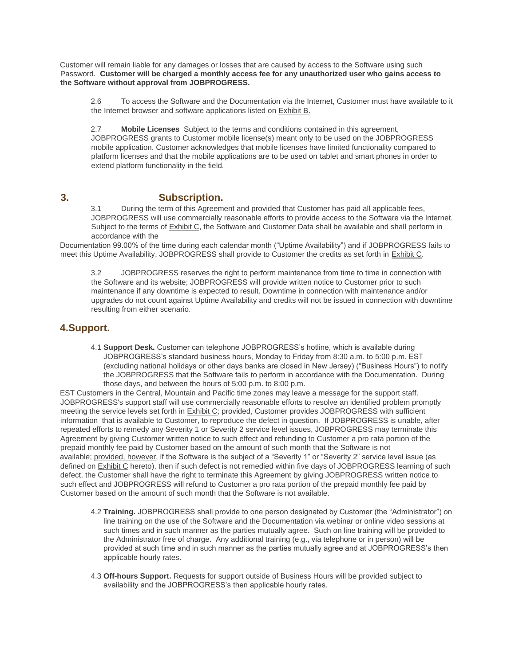Customer will remain liable for any damages or losses that are caused by access to the Software using such Password. **Customer will be charged a monthly access fee for any unauthorized user who gains access to the Software without approval from JOBPROGRESS.**

2.6 To access the Software and the Documentation via the Internet, Customer must have available to it the Internet browser and software applications listed on Exhibit B.

2.7 **Mobile Licenses** Subject to the terms and conditions contained in this agreement, JOBPROGRESS grants to Customer mobile license(s) meant only to be used on the JOBPROGRESS mobile application. Customer acknowledges that mobile licenses have limited functionality compared to platform licenses and that the mobile applications are to be used on tablet and smart phones in order to extend platform functionality in the field.

#### **3. Subscription.**

3.1 During the term of this Agreement and provided that Customer has paid all applicable fees, JOBPROGRESS will use commercially reasonable efforts to provide access to the Software via the Internet. Subject to the terms of **Exhibit C**, the Software and Customer Data shall be available and shall perform in accordance with the

Documentation 99.00% of the time during each calendar month ("Uptime Availability") and if JOBPROGRESS fails to meet this Uptime Availability, JOBPROGRESS shall provide to Customer the credits as set forth in **Exhibit C**.

3.2 JOBPROGRESS reserves the right to perform maintenance from time to time in connection with the Software and its website; JOBPROGRESS will provide written notice to Customer prior to such maintenance if any downtime is expected to result. Downtime in connection with maintenance and/or upgrades do not count against Uptime Availability and credits will not be issued in connection with downtime resulting from either scenario.

## **4.Support.**

4.1 **Support Desk.** Customer can telephone JOBPROGRESS's hotline, which is available during JOBPROGRESS's standard business hours, Monday to Friday from 8:30 a.m. to 5:00 p.m. EST (excluding national holidays or other days banks are closed in New Jersey) ("Business Hours") to notify the JOBPROGRESS that the Software fails to perform in accordance with the Documentation. During those days, and between the hours of 5:00 p.m. to 8:00 p.m.

EST Customers in the Central, Mountain and Pacific time zones may leave a message for the support staff. JOBPROGRESS's support staff will use commercially reasonable efforts to resolve an identified problem promptly meeting the service levels set forth in **Exhibit C**; provided, Customer provides JOBPROGRESS with sufficient information that is available to Customer, to reproduce the defect in question. If JOBPROGRESS is unable, after repeated efforts to remedy any Severity 1 or Severity 2 service level issues, JOBPROGRESS may terminate this Agreement by giving Customer written notice to such effect and refunding to Customer a pro rata portion of the prepaid monthly fee paid by Customer based on the amount of such month that the Software is not available; provided, however, if the Software is the subject of a "Severity 1" or "Severity 2" service level issue (as defined on Exhibit C hereto), then if such defect is not remedied within five days of JOBPROGRESS learning of such defect, the Customer shall have the right to terminate this Agreement by giving JOBPROGRESS written notice to such effect and JOBPROGRESS will refund to Customer a pro rata portion of the prepaid monthly fee paid by Customer based on the amount of such month that the Software is not available.

- 4.2 **Training.** JOBPROGRESS shall provide to one person designated by Customer (the "Administrator") on line training on the use of the Software and the Documentation via webinar or online video sessions at such times and in such manner as the parties mutually agree. Such on line training will be provided to the Administrator free of charge. Any additional training (e.g., via telephone or in person) will be provided at such time and in such manner as the parties mutually agree and at JOBPROGRESS's then applicable hourly rates.
- 4.3 **Off-hours Support.** Requests for support outside of Business Hours will be provided subject to availability and the JOBPROGRESS's then applicable hourly rates.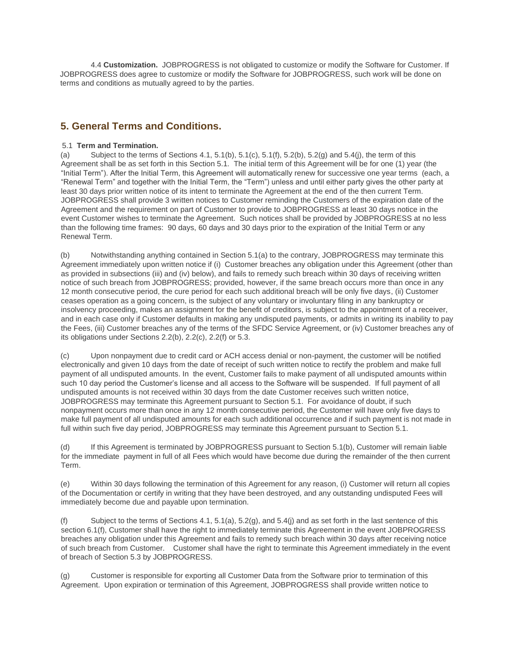4.4 **Customization.** JOBPROGRESS is not obligated to customize or modify the Software for Customer. If JOBPROGRESS does agree to customize or modify the Software for JOBPROGRESS, such work will be done on terms and conditions as mutually agreed to by the parties.

## **5. General Terms and Conditions.**

#### 5.1 **Term and Termination.**

(a) Subject to the terms of Sections 4.1, 5.1(b), 5.1(c), 5.1(f), 5.2(b), 5.2(q) and 5.4(j), the term of this Agreement shall be as set forth in this Section 5.1. The initial term of this Agreement will be for one (1) year (the "Initial Term"). After the Initial Term, this Agreement will automatically renew for successive one year terms (each, a "Renewal Term" and together with the Initial Term, the "Term") unless and until either party gives the other party at least 30 days prior written notice of its intent to terminate the Agreement at the end of the then current Term. JOBPROGRESS shall provide 3 written notices to Customer reminding the Customers of the expiration date of the Agreement and the requirement on part of Customer to provide to JOBPROGRESS at least 30 days notice in the event Customer wishes to terminate the Agreement. Such notices shall be provided by JOBPROGRESS at no less than the following time frames: 90 days, 60 days and 30 days prior to the expiration of the Initial Term or any Renewal Term.

(b) Notwithstanding anything contained in Section 5.1(a) to the contrary, JOBPROGRESS may terminate this Agreement immediately upon written notice if (i) Customer breaches any obligation under this Agreement (other than as provided in subsections (iii) and (iv) below), and fails to remedy such breach within 30 days of receiving written notice of such breach from JOBPROGRESS; provided, however, if the same breach occurs more than once in any 12 month consecutive period, the cure period for each such additional breach will be only five days, (ii) Customer ceases operation as a going concern, is the subject of any voluntary or involuntary filing in any bankruptcy or insolvency proceeding, makes an assignment for the benefit of creditors, is subject to the appointment of a receiver, and in each case only if Customer defaults in making any undisputed payments, or admits in writing its inability to pay the Fees, (iii) Customer breaches any of the terms of the SFDC Service Agreement, or (iv) Customer breaches any of its obligations under Sections 2.2(b), 2.2(c), 2.2(f) or 5.3.

(c) Upon nonpayment due to credit card or ACH access denial or non-payment, the customer will be notified electronically and given 10 days from the date of receipt of such written notice to rectify the problem and make full payment of all undisputed amounts. In the event, Customer fails to make payment of all undisputed amounts within such 10 day period the Customer's license and all access to the Software will be suspended. If full payment of all undisputed amounts is not received within 30 days from the date Customer receives such written notice, JOBPROGRESS may terminate this Agreement pursuant to Section 5.1. For avoidance of doubt, if such nonpayment occurs more than once in any 12 month consecutive period, the Customer will have only five days to make full payment of all undisputed amounts for each such additional occurrence and if such payment is not made in full within such five day period, JOBPROGRESS may terminate this Agreement pursuant to Section 5.1.

(d) If this Agreement is terminated by JOBPROGRESS pursuant to Section 5.1(b), Customer will remain liable for the immediate payment in full of all Fees which would have become due during the remainder of the then current Term.

(e) Within 30 days following the termination of this Agreement for any reason, (i) Customer will return all copies of the Documentation or certify in writing that they have been destroyed, and any outstanding undisputed Fees will immediately become due and payable upon termination.

(f) Subject to the terms of Sections 4.1,  $5.1(a)$ ,  $5.2(a)$ , and  $5.4(i)$  and as set forth in the last sentence of this section 6.1(f), Customer shall have the right to immediately terminate this Agreement in the event JOBPROGRESS breaches any obligation under this Agreement and fails to remedy such breach within 30 days after receiving notice of such breach from Customer. Customer shall have the right to terminate this Agreement immediately in the event of breach of Section 5.3 by JOBPROGRESS.

(g) Customer is responsible for exporting all Customer Data from the Software prior to termination of this Agreement. Upon expiration or termination of this Agreement, JOBPROGRESS shall provide written notice to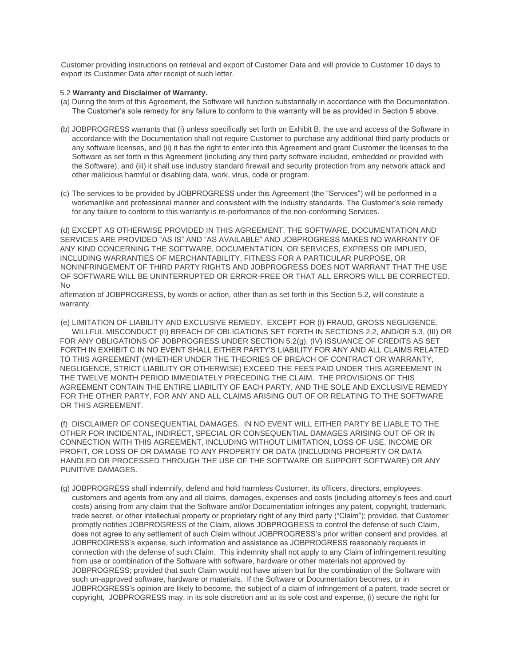Customer providing instructions on retrieval and export of Customer Data and will provide to Customer 10 days to export its Customer Data after receipt of such letter.

#### 5.2 **Warranty and Disclaimer of Warranty.**

- (a) During the term of this Agreement, the Software will function substantially in accordance with the Documentation. The Customer's sole remedy for any failure to conform to this warranty will be as provided in Section 5 above.
- (b) JOBPROGRESS warrants that (i) unless specifically set forth on Exhibit B, the use and access of the Software in accordance with the Documentation shall not require Customer to purchase any additional third party products or any software licenses, and (ii) it has the right to enter into this Agreement and grant Customer the licenses to the Software as set forth in this Agreement (including any third party software included, embedded or provided with the Software), and (iii) it shall use industry standard firewall and security protection from any network attack and other malicious harmful or disabling data, work, virus, code or program.
- (c) The services to be provided by JOBPROGRESS under this Agreement (the "Services") will be performed in a workmanlike and professional manner and consistent with the industry standards. The Customer's sole remedy for any failure to conform to this warranty is re-performance of the non-conforming Services.

(d) EXCEPT AS OTHERWISE PROVIDED IN THIS AGREEMENT, THE SOFTWARE, DOCUMENTATION AND SERVICES ARE PROVIDED "AS IS" AND "AS AVAILABLE" AND JOBPROGRESS MAKES NO WARRANTY OF ANY KIND CONCERNING THE SOFTWARE, DOCUMENTATION, OR SERVICES, EXPRESS OR IMPLIED, INCLUDING WARRANTIES OF MERCHANTABILITY, FITNESS FOR A PARTICULAR PURPOSE, OR NONINFRINGEMENT OF THIRD PARTY RIGHTS AND JOBPROGRESS DOES NOT WARRANT THAT THE USE OF SOFTWARE WILL BE UNINTERRUPTED OR ERROR-FREE OR THAT ALL ERRORS WILL BE CORRECTED. No

affirmation of JOBPROGRESS, by words or action, other than as set forth in this Section 5.2, will constitute a warranty.

(e) LIMITATION OF LIABILITY AND EXCLUSIVE REMEDY. EXCEPT FOR (I) FRAUD, GROSS NEGLIGENCE, WILLFUL MISCONDUCT (II) BREACH OF OBLIGATIONS SET FORTH IN SECTIONS 2.2, AND/OR 5.3, (III) OR FOR ANY OBLIGATIONS OF JOBPROGRESS UNDER SECTION 5.2(g), (IV) ISSUANCE OF CREDITS AS SET FORTH IN EXHIBIT C IN NO EVENT SHALL EITHER PARTY'S LIABILITY FOR ANY AND ALL CLAIMS RELATED TO THIS AGREEMENT (WHETHER UNDER THE THEORIES OF BREACH OF CONTRACT OR WARRANTY, NEGLIGENCE, STRICT LIABILITY OR OTHERWISE) EXCEED THE FEES PAID UNDER THIS AGREEMENT IN THE TWELVE MONTH PERIOD IMMEDIATELY PRECEDING THE CLAIM. THE PROVISIONS OF THIS AGREEMENT CONTAIN THE ENTIRE LIABILITY OF EACH PARTY, AND THE SOLE AND EXCLUSIVE REMEDY FOR THE OTHER PARTY, FOR ANY AND ALL CLAIMS ARISING OUT OF OR RELATING TO THE SOFTWARE OR THIS AGREEMENT.

(f) DISCLAIMER OF CONSEQUENTIAL DAMAGES. IN NO EVENT WILL EITHER PARTY BE LIABLE TO THE OTHER FOR INCIDENTAL, INDIRECT, SPECIAL OR CONSEQUENTIAL DAMAGES ARISING OUT OF OR IN CONNECTION WITH THIS AGREEMENT, INCLUDING WITHOUT LIMITATION, LOSS OF USE, INCOME OR PROFIT, OR LOSS OF OR DAMAGE TO ANY PROPERTY OR DATA (INCLUDING PROPERTY OR DATA HANDLED OR PROCESSED THROUGH THE USE OF THE SOFTWARE OR SUPPORT SOFTWARE) OR ANY PUNITIVE DAMAGES.

(g) JOBPROGRESS shall indemnify, defend and hold harmless Customer, its officers, directors, employees, customers and agents from any and all claims, damages, expenses and costs (including attorney's fees and court costs) arising from any claim that the Software and/or Documentation infringes any patent, copyright, trademark, trade secret, or other intellectual property or proprietary right of any third party ("Claim"); provided, that Customer promptly notifies JOBPROGRESS of the Claim, allows JOBPROGRESS to control the defense of such Claim, does not agree to any settlement of such Claim without JOBPROGRESS's prior written consent and provides, at JOBPROGRESS's expense, such information and assistance as JOBPROGRESS reasonably requests in connection with the defense of such Claim. This indemnity shall not apply to any Claim of infringement resulting from use or combination of the Software with software, hardware or other materials not approved by JOBPROGRESS; provided that such Claim would not have arisen but for the combination of the Software with such un-approved software, hardware or materials. If the Software or Documentation becomes, or in JOBPROGRESS's opinion are likely to become, the subject of a claim of infringement of a patent, trade secret or copyright, JOBPROGRESS may, in its sole discretion and at its sole cost and expense, (i) secure the right for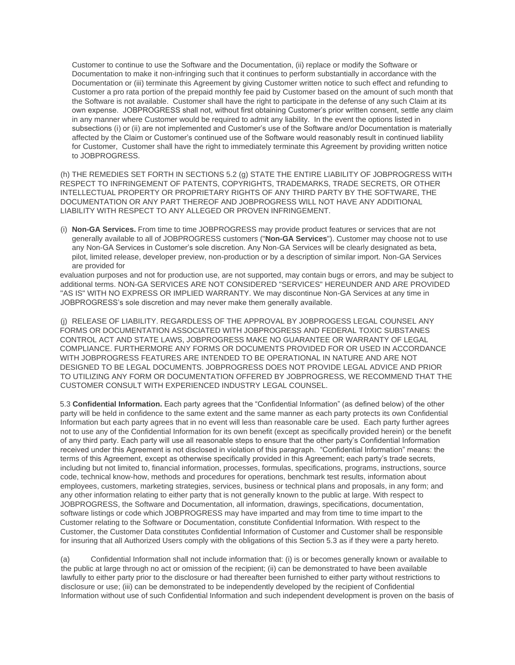Customer to continue to use the Software and the Documentation, (ii) replace or modify the Software or Documentation to make it non-infringing such that it continues to perform substantially in accordance with the Documentation or (iii) terminate this Agreement by giving Customer written notice to such effect and refunding to Customer a pro rata portion of the prepaid monthly fee paid by Customer based on the amount of such month that the Software is not available. Customer shall have the right to participate in the defense of any such Claim at its own expense. JOBPROGRESS shall not, without first obtaining Customer's prior written consent, settle any claim in any manner where Customer would be required to admit any liability. In the event the options listed in subsections (i) or (ii) are not implemented and Customer's use of the Software and/or Documentation is materially affected by the Claim or Customer's continued use of the Software would reasonably result in continued liability for Customer. Customer shall have the right to immediately terminate this Agreement by providing written notice to JOBPROGRESS.

(h) THE REMEDIES SET FORTH IN SECTIONS 5.2 (g) STATE THE ENTIRE LIABILITY OF JOBPROGRESS WITH RESPECT TO INFRINGEMENT OF PATENTS, COPYRIGHTS, TRADEMARKS, TRADE SECRETS, OR OTHER INTELLECTUAL PROPERTY OR PROPRIETARY RIGHTS OF ANY THIRD PARTY BY THE SOFTWARE, THE DOCUMENTATION OR ANY PART THEREOF AND JOBPROGRESS WILL NOT HAVE ANY ADDITIONAL LIABILITY WITH RESPECT TO ANY ALLEGED OR PROVEN INFRINGEMENT.

(i) **Non-GA Services.** From time to time JOBPROGRESS may provide product features or services that are not generally available to all of JOBPROGRESS customers ("**Non-GA Services**"). Customer may choose not to use any Non-GA Services in Customer's sole discretion. Any Non-GA Services will be clearly designated as beta, pilot, limited release, developer preview, non-production or by a description of similar import. Non-GA Services are provided for

evaluation purposes and not for production use, are not supported, may contain bugs or errors, and may be subject to additional terms. NON-GA SERVICES ARE NOT CONSIDERED "SERVICES" HEREUNDER AND ARE PROVIDED "AS IS" WITH NO EXPRESS OR IMPLIED WARRANTY. We may discontinue Non-GA Services at any time in JOBPROGRESS's sole discretion and may never make them generally available.

(j) RELEASE OF LIABILITY. REGARDLESS OF THE APPROVAL BY JOBPROGESS LEGAL COUNSEL ANY FORMS OR DOCUMENTATION ASSOCIATED WITH JOBPROGRESS AND FEDERAL TOXIC SUBSTANES CONTROL ACT AND STATE LAWS, JOBPROGRESS MAKE NO GUARANTEE OR WARRANTY OF LEGAL COMPLIANCE. FURTHERMORE ANY FORMS OR DOCUMENTS PROVIDED FOR OR USED IN ACCORDANCE WITH JOBPROGRESS FEATURES ARE INTENDED TO BE OPERATIONAL IN NATURE AND ARE NOT DESIGNED TO BE LEGAL DOCUMENTS. JOBPROGRESS DOES NOT PROVIDE LEGAL ADVICE AND PRIOR TO UTILIZING ANY FORM OR DOCUMENTATION OFFERED BY JOBPROGRESS, WE RECOMMEND THAT THE CUSTOMER CONSULT WITH EXPERIENCED INDUSTRY LEGAL COUNSEL.

5.3 **Confidential Information.** Each party agrees that the "Confidential Information" (as defined below) of the other party will be held in confidence to the same extent and the same manner as each party protects its own Confidential Information but each party agrees that in no event will less than reasonable care be used. Each party further agrees not to use any of the Confidential Information for its own benefit (except as specifically provided herein) or the benefit of any third party. Each party will use all reasonable steps to ensure that the other party's Confidential Information received under this Agreement is not disclosed in violation of this paragraph. "Confidential Information" means: the terms of this Agreement, except as otherwise specifically provided in this Agreement; each party's trade secrets, including but not limited to, financial information, processes, formulas, specifications, programs, instructions, source code, technical know-how, methods and procedures for operations, benchmark test results, information about employees, customers, marketing strategies, services, business or technical plans and proposals, in any form; and any other information relating to either party that is not generally known to the public at large. With respect to JOBPROGRESS, the Software and Documentation, all information, drawings, specifications, documentation, software listings or code which JOBPROGRESS may have imparted and may from time to time impart to the Customer relating to the Software or Documentation, constitute Confidential Information. With respect to the Customer, the Customer Data constitutes Confidential Information of Customer and Customer shall be responsible for insuring that all Authorized Users comply with the obligations of this Section 5.3 as if they were a party hereto.

(a) Confidential Information shall not include information that: (i) is or becomes generally known or available to the public at large through no act or omission of the recipient; (ii) can be demonstrated to have been available lawfully to either party prior to the disclosure or had thereafter been furnished to either party without restrictions to disclosure or use; (iii) can be demonstrated to be independently developed by the recipient of Confidential Information without use of such Confidential Information and such independent development is proven on the basis of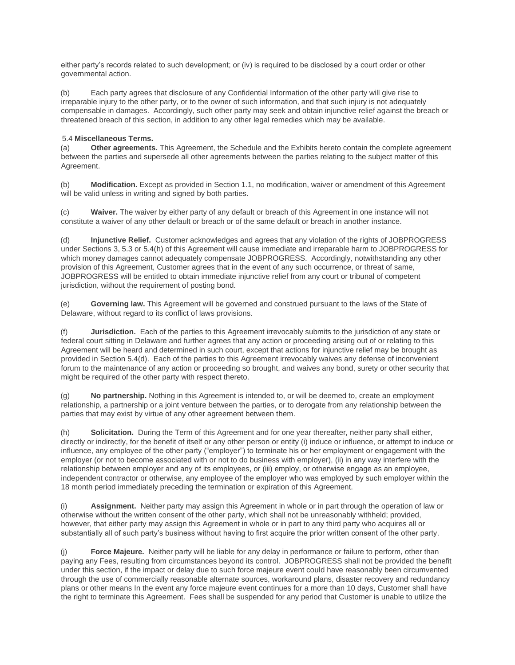either party's records related to such development; or (iv) is required to be disclosed by a court order or other governmental action.

(b) Each party agrees that disclosure of any Confidential Information of the other party will give rise to irreparable injury to the other party, or to the owner of such information, and that such injury is not adequately compensable in damages. Accordingly, such other party may seek and obtain injunctive relief against the breach or threatened breach of this section, in addition to any other legal remedies which may be available.

#### 5.4 **Miscellaneous Terms.**

(a) **Other agreements.** This Agreement, the Schedule and the Exhibits hereto contain the complete agreement between the parties and supersede all other agreements between the parties relating to the subject matter of this Agreement.

(b) **Modification.** Except as provided in Section 1.1, no modification, waiver or amendment of this Agreement will be valid unless in writing and signed by both parties.

(c) **Waiver.** The waiver by either party of any default or breach of this Agreement in one instance will not constitute a waiver of any other default or breach or of the same default or breach in another instance.

(d) **Injunctive Relief.** Customer acknowledges and agrees that any violation of the rights of JOBPROGRESS under Sections 3, 5.3 or 5.4(h) of this Agreement will cause immediate and irreparable harm to JOBPROGRESS for which money damages cannot adequately compensate JOBPROGRESS. Accordingly, notwithstanding any other provision of this Agreement, Customer agrees that in the event of any such occurrence, or threat of same, JOBPROGRESS will be entitled to obtain immediate injunctive relief from any court or tribunal of competent jurisdiction, without the requirement of posting bond.

(e) **Governing law.** This Agreement will be governed and construed pursuant to the laws of the State of Delaware, without regard to its conflict of laws provisions.

(f) **Jurisdiction.** Each of the parties to this Agreement irrevocably submits to the jurisdiction of any state or federal court sitting in Delaware and further agrees that any action or proceeding arising out of or relating to this Agreement will be heard and determined in such court, except that actions for injunctive relief may be brought as provided in Section 5.4(d). Each of the parties to this Agreement irrevocably waives any defense of inconvenient forum to the maintenance of any action or proceeding so brought, and waives any bond, surety or other security that might be required of the other party with respect thereto.

(g) **No partnership.** Nothing in this Agreement is intended to, or will be deemed to, create an employment relationship, a partnership or a joint venture between the parties, or to derogate from any relationship between the parties that may exist by virtue of any other agreement between them.

(h) **Solicitation.** During the Term of this Agreement and for one year thereafter, neither party shall either, directly or indirectly, for the benefit of itself or any other person or entity (i) induce or influence, or attempt to induce or influence, any employee of the other party ("employer") to terminate his or her employment or engagement with the employer (or not to become associated with or not to do business with employer), (ii) in any way interfere with the relationship between employer and any of its employees, or (iii) employ, or otherwise engage as an employee, independent contractor or otherwise, any employee of the employer who was employed by such employer within the 18 month period immediately preceding the termination or expiration of this Agreement.

(i) **Assignment.** Neither party may assign this Agreement in whole or in part through the operation of law or otherwise without the written consent of the other party, which shall not be unreasonably withheld; provided, however, that either party may assign this Agreement in whole or in part to any third party who acquires all or substantially all of such party's business without having to first acquire the prior written consent of the other party.

(j) **Force Majeure.** Neither party will be liable for any delay in performance or failure to perform, other than paying any Fees, resulting from circumstances beyond its control. JOBPROGRESS shall not be provided the benefit under this section, if the impact or delay due to such force majeure event could have reasonably been circumvented through the use of commercially reasonable alternate sources, workaround plans, disaster recovery and redundancy plans or other means In the event any force majeure event continues for a more than 10 days, Customer shall have the right to terminate this Agreement. Fees shall be suspended for any period that Customer is unable to utilize the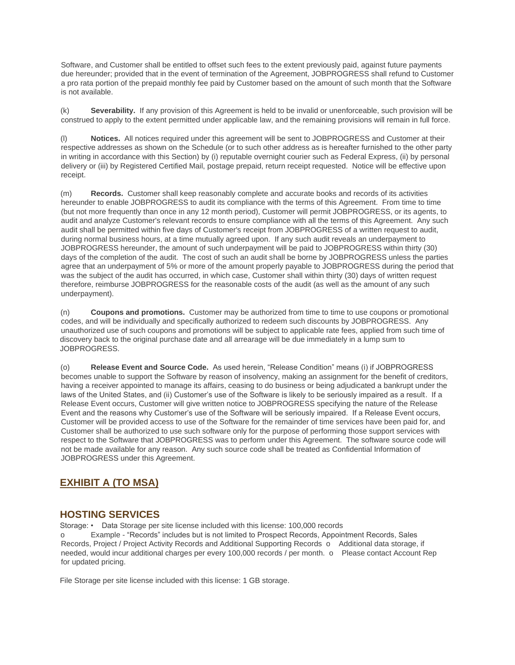Software, and Customer shall be entitled to offset such fees to the extent previously paid, against future payments due hereunder; provided that in the event of termination of the Agreement, JOBPROGRESS shall refund to Customer a pro rata portion of the prepaid monthly fee paid by Customer based on the amount of such month that the Software is not available.

(k) **Severability.** If any provision of this Agreement is held to be invalid or unenforceable, such provision will be construed to apply to the extent permitted under applicable law, and the remaining provisions will remain in full force.

(l) **Notices.** All notices required under this agreement will be sent to JOBPROGRESS and Customer at their respective addresses as shown on the Schedule (or to such other address as is hereafter furnished to the other party in writing in accordance with this Section) by (i) reputable overnight courier such as Federal Express, (ii) by personal delivery or (iii) by Registered Certified Mail, postage prepaid, return receipt requested. Notice will be effective upon receipt.

(m) **Records.** Customer shall keep reasonably complete and accurate books and records of its activities hereunder to enable JOBPROGRESS to audit its compliance with the terms of this Agreement. From time to time (but not more frequently than once in any 12 month period), Customer will permit JOBPROGRESS, or its agents, to audit and analyze Customer's relevant records to ensure compliance with all the terms of this Agreement. Any such audit shall be permitted within five days of Customer's receipt from JOBPROGRESS of a written request to audit, during normal business hours, at a time mutually agreed upon. If any such audit reveals an underpayment to JOBPROGRESS hereunder, the amount of such underpayment will be paid to JOBPROGRESS within thirty (30) days of the completion of the audit. The cost of such an audit shall be borne by JOBPROGRESS unless the parties agree that an underpayment of 5% or more of the amount properly payable to JOBPROGRESS during the period that was the subject of the audit has occurred, in which case, Customer shall within thirty (30) days of written request therefore, reimburse JOBPROGRESS for the reasonable costs of the audit (as well as the amount of any such underpayment).

(n) **Coupons and promotions.** Customer may be authorized from time to time to use coupons or promotional codes, and will be individually and specifically authorized to redeem such discounts by JOBPROGRESS. Any unauthorized use of such coupons and promotions will be subject to applicable rate fees, applied from such time of discovery back to the original purchase date and all arrearage will be due immediately in a lump sum to JOBPROGRESS.

(o) **Release Event and Source Code.** As used herein, "Release Condition" means (i) if JOBPROGRESS becomes unable to support the Software by reason of insolvency, making an assignment for the benefit of creditors, having a receiver appointed to manage its affairs, ceasing to do business or being adjudicated a bankrupt under the laws of the United States, and (ii) Customer's use of the Software is likely to be seriously impaired as a result. If a Release Event occurs, Customer will give written notice to JOBPROGRESS specifying the nature of the Release Event and the reasons why Customer's use of the Software will be seriously impaired. If a Release Event occurs, Customer will be provided access to use of the Software for the remainder of time services have been paid for, and Customer shall be authorized to use such software only for the purpose of performing those support services with respect to the Software that JOBPROGRESS was to perform under this Agreement. The software source code will not be made available for any reason. Any such source code shall be treated as Confidential Information of JOBPROGRESS under this Agreement.

## **EXHIBIT A (TO MSA)**

## **HOSTING SERVICES**

Storage: • Data Storage per site license included with this license: 100,000 records

o Example - "Records" includes but is not limited to Prospect Records, Appointment Records, Sales Records, Project / Project Activity Records and Additional Supporting Records o Additional data storage, if needed, would incur additional charges per every 100,000 records / per month. o Please contact Account Rep for updated pricing.

File Storage per site license included with this license: 1 GB storage.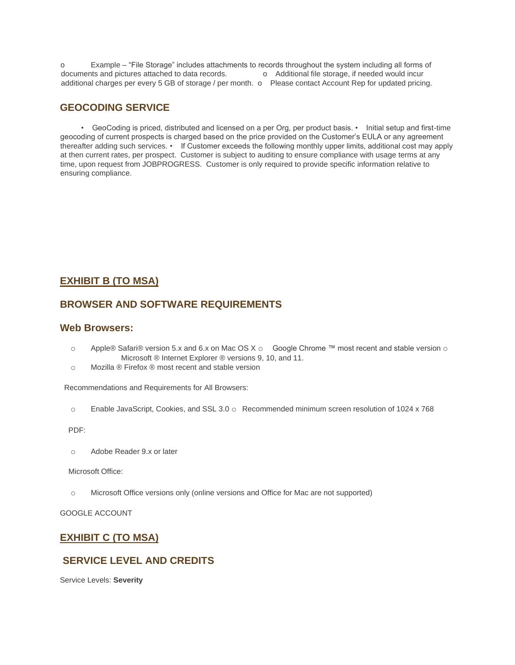o Example – "File Storage" includes attachments to records throughout the system including all forms of documents and pictures attached to data records.  $\qquad o$  Additional file storage, if needed would incur additional charges per every 5 GB of storage / per month. o Please contact Account Rep for updated pricing.

## **GEOCODING SERVICE**

 • GeoCoding is priced, distributed and licensed on a per Org, per product basis. • Initial setup and first-time geocoding of current prospects is charged based on the price provided on the Customer's EULA or any agreement thereafter adding such services. • If Customer exceeds the following monthly upper limits, additional cost may apply at then current rates, per prospect. Customer is subject to auditing to ensure compliance with usage terms at any time, upon request from JOBPROGRESS. Customer is only required to provide specific information relative to ensuring compliance.

## **EXHIBIT B (TO MSA)**

## **BROWSER AND SOFTWARE REQUIREMENTS**

### **Web Browsers:**

- o Apple® Safari® version 5.x and 6.x on Mac OS X  $\circ$  Google Chrome ™ most recent and stable version  $\circ$ Microsoft ® Internet Explorer ® versions 9, 10, and 11.
- o Mozilla ® Firefox ® most recent and stable version

Recommendations and Requirements for All Browsers:

o Enable JavaScript, Cookies, and SSL 3.0 o Recommended minimum screen resolution of 1024 x 768

PDF:

o Adobe Reader 9.x or later

Microsoft Office:

o Microsoft Office versions only (online versions and Office for Mac are not supported)

GOOGLE ACCOUNT

## **EXHIBIT C (TO MSA)**

## **SERVICE LEVEL AND CREDITS**

Service Levels: **Severity**